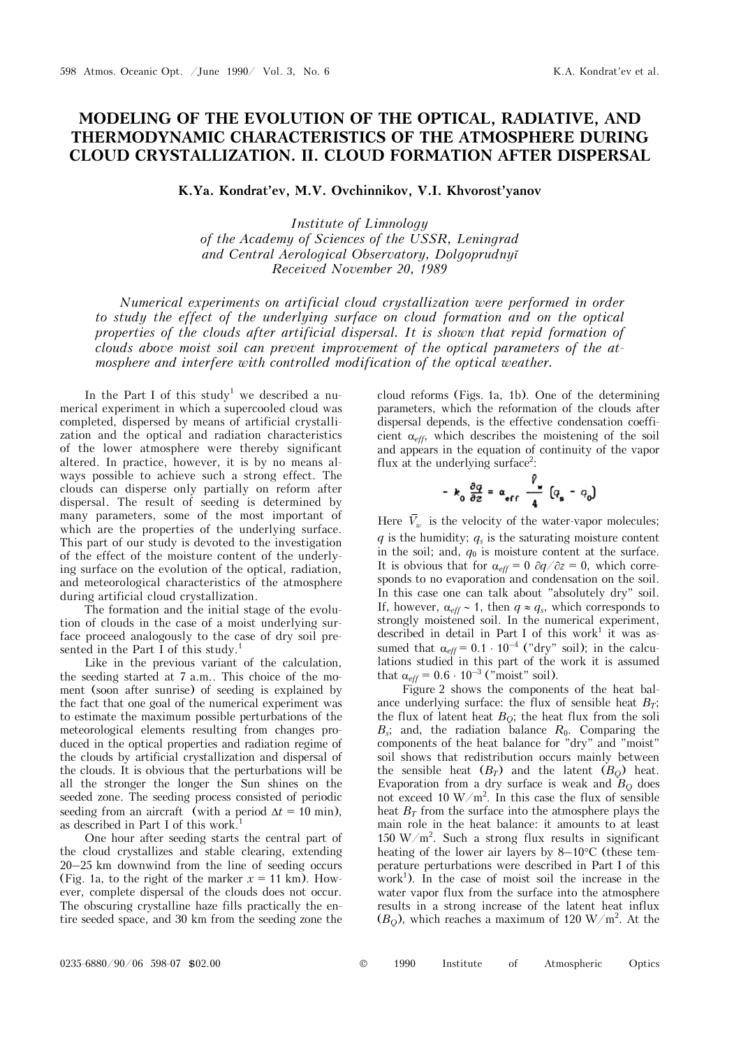## **MODELING OF THE EVOLUTION OF THE OPTICAL, RADIATIVE, AND THERMODYNAMIC CHARACTERISTICS OF THE ATMOSPHERE DURING CLOUD CRYSTALLIZATION. II. CLOUD FORMATION AFTER DISPERSAL**

K.Ya. Kondrat'ev, M.V. Ovchinnikov, V.I. Khvorost'yanov

*Institute of Limnology of the Academy of Sciences of the USSR, Leningrad and Central Aerological Observatory, Dolgoprudnyĭ Received November 20, 1989* 

*Numerical experiments on artificial cloud crystallization were performed in order to study the effect of the underlying surface on cloud formation and on the optical properties of the clouds after artificial dispersal. It is shown that repid formation of clouds above moist soil can prevent improvement of the optical parameters of the atmosphere and interfere with controlled modification of the optical weather.* 

In the Part I of this study<sup>1</sup> we described a numerical experiment in which a supercooled cloud was completed, dispersed by means of artificial crystallization and the optical and radiation characteristics of the lower atmosphere were thereby significant altered. In practice, however, it is by no means always possible to achieve such a strong effect. The clouds can disperse only partially on reform after dispersal. The result of seeding is determined by many parameters, some of the most important of which are the properties of the underlying surface. This part of our study is devoted to the investigation of the effect of the moisture content of the underlying surface on the evolution of the optical, radiation, and meteorological characteristics of the atmosphere during artificial cloud crystallization.

The formation and the initial stage of the evolution of clouds in the case of a moist underlying surface proceed analogously to the case of dry soil presented in the Part I of this study.<sup>1</sup>

Like in the previous variant of the calculation, the seeding started at 7 a.m.. This choice of the moment (soon after sunrise) of seeding is explained by the fact that one goal of the numerical experiment was to estimate the maximum possible perturbations of the meteorological elements resulting from changes produced in the optical properties and radiation regime of the clouds by artificial crystallization and dispersal of the clouds. It is obvious that the perturbations will be all the stronger the longer the Sun shines on the seeded zone. The seeding process consisted of periodic seeding from an aircraft (with a period  $\Delta t = 10$  min), as described in Part I of this work.<sup>1</sup>

One hour after seeding starts the central part of the cloud crystallizes and stable clearing, extending 20–25 km downwind from the line of seeding occurs (Fig. 1a, to the right of the marker  $x = 11$  km). However, complete dispersal of the clouds does not occur. The obscuring crystalline haze fills practically the entire seeded space, and 30 km from the seeding zone the cloud reforms (Figs. 1a, 1b). One of the determining parameters, which the reformation of the clouds after dispersal depends, is the effective condensation coefficient  $\alpha_{\text{eff}}$ , which describes the moistening of the soil and appears in the equation of continuity of the vapor flux at the underlying surface<sup>2</sup>:

$$
-k_0 \frac{\partial q}{\partial z} = \alpha_{eff} \frac{\bar{V}_w}{4} (q_s - q_0)
$$

Here  $\overline{V}_w$  is the velocity of the water-vapor molecules;  $q$  is the humidity;  $q_s$  is the saturating moisture content in the soil; and,  $q_0$  is moisture content at the surface. It is obvious that for  $\alpha_{\text{eff}} = 0 \frac{\partial q}{\partial z} = 0$ , which corresponds to no evaporation and condensation on the soil. In this case one can talk about "absolutely dry" soil. If, however,  $\alpha_{\text{eff}} \sim 1$ , then  $q \approx q_s$ , which corresponds to strongly moistened soil. In the numerical experiment, described in detail in Part I of this work<sup>1</sup> it was assumed that  $\alpha_{\text{eff}} = 0.1 \cdot 10^{-4}$  ("dry" soil); in the calculations studied in this part of the work it is assumed that  $\alpha_{eff} = 0.6 \cdot 10^{-3}$  ("moist" soil).

Figure 2 shows the components of the heat balance underlying surface: the flux of sensible heat  $B_T$ ; the flux of latent heat  $B<sub>O</sub>$ ; the heat flux from the soli *<i>B*<sub>s</sub>; and, the radiation balance *R*<sub>0</sub>. Comparing the components of the heat balance for "dry" and "moist" soil shows that redistribution occurs mainly between the sensible heat  $(B_T)$  and the latent  $(B_O)$  heat. Evaporation from a dry surface is weak and  $B<sub>O</sub>$  does not exceed 10  $W/m^2$ . In this case the flux of sensible heat  $B_T$  from the surface into the atmosphere plays the main role in the heat balance: it amounts to at least 150 W/m<sup>2</sup>. Such a strong flux results in significant heating of the lower air layers by  $8-10^{\circ}$ C (these temperature perturbations were described in Part I of this work<sup>1</sup>). In the case of moist soil the increase in the water vapor flux from the surface into the atmosphere results in a strong increase of the latent heat influx  $(B_Q)$ , which reaches a maximum of 120 W/m<sup>2</sup>. At the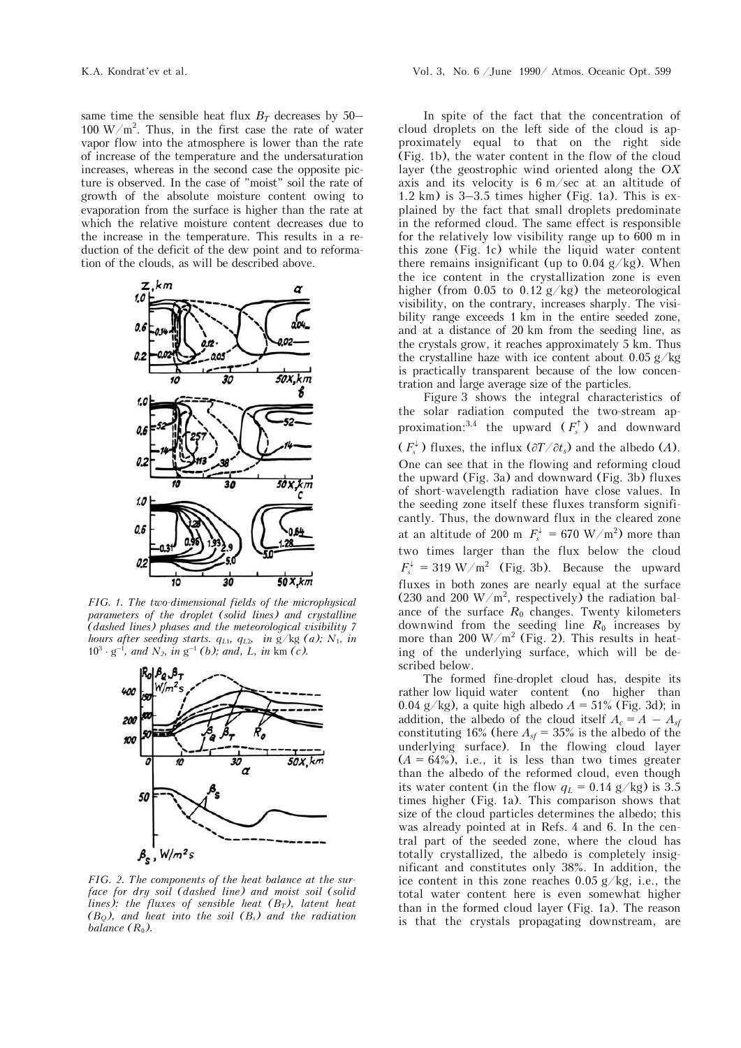same time the sensible heat flux  $B_T$  decreases by 50– 100  $W/m^2$ . Thus, in the first case the rate of water vapor flow into the atmosphere is lower than the rate of increase of the temperature and the undersaturation increases, whereas in the second case the opposite picture is observed. In the case of "moist" soil the rate of growth of the absolute moisture content owing to evaporation from the surface is higher than the rate at which the relative moisture content decreases due to the increase in the temperature. This results in a reduction of the deficit of the dew point and to reformation of the clouds, as will be described above.



*FIG. 1. The two-dimensional fields of the microphysical parameters of the droplet (solid lines) and crystalline (dashed lines) phases and the meteorological visibility 7 hours after seeding starts. qL*1*, qL*2*, in* g/kg *(a); N*1, *in*   $10^3 \cdot g^{-1}$ , and  $N_2$ , in  $g^{-1}$  (b); and, L, in km (c).



*FIG. 2. The components of the heat balance at the surface for dry soil (dashed line) and moist soil (solid lines): the fluxes of sensible heat (B<sub>T</sub>), latent heat (BQ), and heat into the soil (Bs) and the radiation balance*  $(R_0)$ .

In spite of the fact that the concentration of cloud droplets on the left side of the cloud is approximately equal to that on the right side (Fig. 1b), the water content in the flow of the cloud layer (the geostrophic wind oriented along the *OX* axis and its velocity is 6 m/sec at an altitude of 1.2 km) is 3–3.5 times higher (Fig. 1a). This is explained by the fact that small droplets predominate in the reformed cloud. The same effect is responsible for the relatively low visibility range up to 600 m in this zone (Fig. 1c) while the liquid water content there remains insignificant (up to  $0.04$  g/kg). When the ice content in the crystallization zone is even higher (from 0.05 to 0.12 g/kg) the meteorological visibility, on the contrary, increases sharply. The visibility range exceeds 1 km in the entire seeded zone, and at a distance of 20 km from the seeding line, as the crystals grow, it reaches approximately 5 km. Thus the crystalline haze with ice content about  $0.05 \frac{\mathrm{g}}{\mathrm{kg}}$ is practically transparent because of the low concentration and large average size of the particles.

Figure 3 shows the integral characteristics of the solar radiation computed the two-stream approximation:<sup>3,4</sup> the upward  $(F_s^{\uparrow})$  and downward  $(F_s^{\downarrow})$  fluxes, the influx  $(\partial T / \partial t_s)$  and the albedo  $(A)$ . One can see that in the flowing and reforming cloud the upward (Fig. 3a) and downward (Fig. 3b) fluxes of short-wavelength radiation have close values. In the seeding zone itself these fluxes transform significantly. Thus, the downward flux in the cleared zone at an altitude of 200 m  $F_s^{\downarrow} = 670 \text{ W/m}^2$  more than two times larger than the flux below the cloud  $F_s^{\downarrow} = 319 \text{ W/m}^2$  (Fig. 3b). Because the upward fluxes in both zones are nearly equal at the surface (230 and 200 W/m<sup>2</sup>, respectively) the radiation balance of the surface  $R_0$  changes. Twenty kilometers downwind from the seeding line  $R_0$  increases by more than 200 W/m<sup>2</sup> (Fig. 2). This results in heating of the underlying surface, which will be described below.

The formed fine-droplet cloud has, despite its rather low liquid water content (no higher than 0.04 g/kg), a quite high albedo  $A = 51\%$  (Fig. 3d); in addition, the albedo of the cloud itself  $A_c = A - A_{sf}$ constituting 16% (here  $A_{sf} = 35\%$  is the albedo of the underlying surface). In the flowing cloud layer  $(A = 64\%)$ , i.e., it is less than two times greater than the albedo of the reformed cloud, even though its water content (in the flow  $q_L = 0.14$  g/kg) is 3.5 times higher (Fig. 1a). This comparison shows that size of the cloud particles determines the albedo; this was already pointed at in Refs. 4 and 6. In the central part of the seeded zone, where the cloud has totally crystallized, the albedo is completely insignificant and constitutes only 38%. In addition, the ice content in this zone reaches  $0.05$  g/kg, i.e., the total water content here is even somewhat higher than in the formed cloud layer (Fig. 1a). The reason is that the crystals propagating downstream, are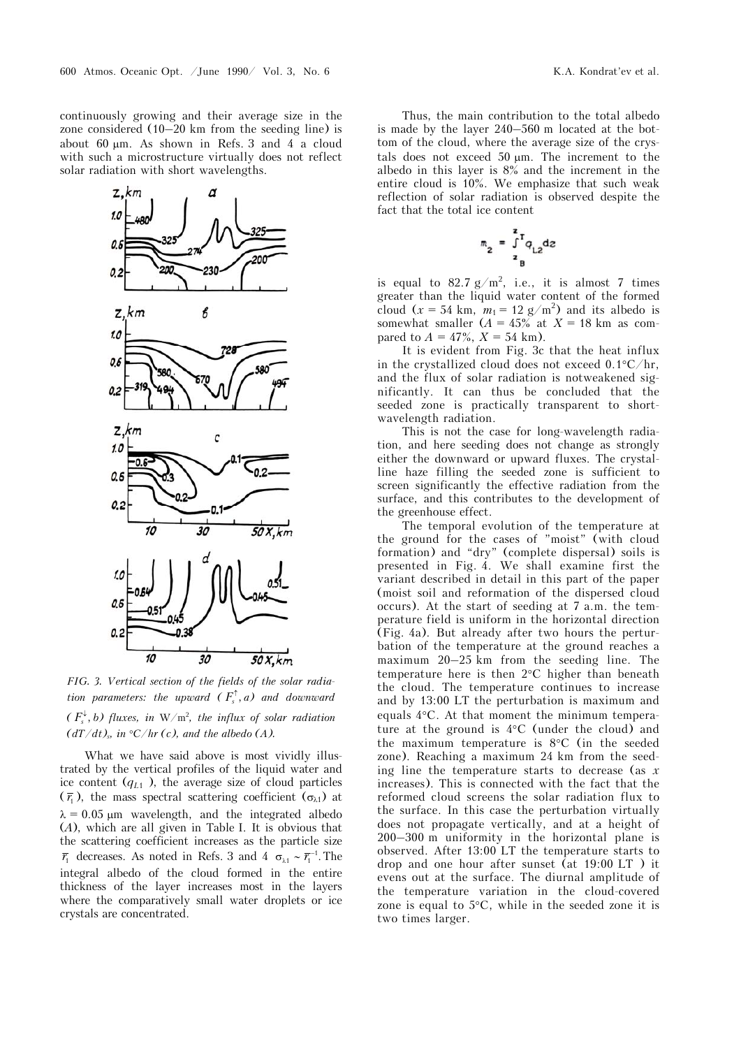continuously growing and their average size in the zone considered (10–20 km from the seeding line) is about 60 m. As shown in Refs. 3 and 4 a cloud with such a microstructure virtually does not reflect solar radiation with short wavelengths.



*FIG. 3. Vertical section of the fields of the solar radiation parameters: the upward*  $(F_s^{\uparrow}, a)$  *and downward*  $(F_s^{\downarrow}, b)$  fluxes, in  $W/m^2$ , the influx of solar radiation  $(dT/dt)$ <sub>s</sub>, in °C/hr (c), and the albedo (A).

What we have said above is most vividly illustrated by the vertical profiles of the liquid water and ice content  $(q_{L1})$ , the average size of cloud particles  $(\bar{r}_1)$ , the mass spectral scattering coefficient ( $\sigma_{\lambda 1}$ ) at  $\lambda = 0.05$  µm wavelength, and the integrated albedo (*A*), which are all given in Table I. It is obvious that the scattering coefficient increases as the particle size  $\overline{r}_1$  decreases. As noted in Refs. 3 and 4  $\sigma_{\lambda 1} \sim \overline{r}_1^{-1}$ . The integral albedo of the cloud formed in the entire thickness of the layer increases most in the layers where the comparatively small water droplets or ice crystals are concentrated.

Thus, the main contribution to the total albedo is made by the layer 240–560 m located at the bottom of the cloud, where the average size of the crystals does not exceed 50  $\mu$ m. The increment to the albedo in this layer is 8% and the increment in the entire cloud is 10%. We emphasize that such weak reflection of solar radiation is observed despite the fact that the total ice content

$$
m_2 = \int_{z_B}^{z} q_{L2} dz
$$

is equal to 82.7  $g/m^2$ , i.e., it is almost 7 times greater than the liquid water content of the formed cloud  $(x = 54 \text{ km}, m_1 = 12 \text{ g/m}^2)$  and its albedo is somewhat smaller  $(A = 45\%$  at  $X = 18$  km as compared to  $A = 47\%, X = 54$  km).

It is evident from Fig. 3c that the heat influx in the crystallized cloud does not exceed  $0.1^{\circ}C/hr$ , and the flux of solar radiation is notweakened significantly. It can thus be concluded that the seeded zone is practically transparent to shortwavelength radiation.

This is not the case for long-wavelength radiation, and here seeding does not change as strongly either the downward or upward fluxes. The crystalline haze filling the seeded zone is sufficient to screen significantly the effective radiation from the surface, and this contributes to the development of the greenhouse effect.

The temporal evolution of the temperature at the ground for the cases of "moist" (with cloud formation) and "dry" (complete dispersal) soils is presented in Fig. 4. We shall examine first the variant described in detail in this part of the paper (moist soil and reformation of the dispersed cloud occurs). At the start of seeding at 7 a.m. the temperature field is uniform in the horizontal direction (Fig. 4a). But already after two hours the perturbation of the temperature at the ground reaches a maximum 20–25 km from the seeding line. The temperature here is then  $2^{\circ}$ C higher than beneath the cloud. The temperature continues to increase and by 13:00 LT the perturbation is maximum and equals 4C. At that moment the minimum temperature at the ground is  $4^{\circ}$ C (under the cloud) and the maximum temperature is  $8^{\circ}$ C (in the seeded zone). Reaching a maximum 24 km from the seeding line the temperature starts to decrease (as *x* increases). This is connected with the fact that the reformed cloud screens the solar radiation flux to the surface. In this case the perturbation virtually does not propagate vertically, and at a height of 200–300 m uniformity in the horizontal plane is observed. After 13:00 LT the temperature starts to drop and one hour after sunset (at 19:00 LT ) it evens out at the surface. The diurnal amplitude of the temperature variation in the cloud-covered zone is equal to  $5^{\circ}$ C, while in the seeded zone it is two times larger.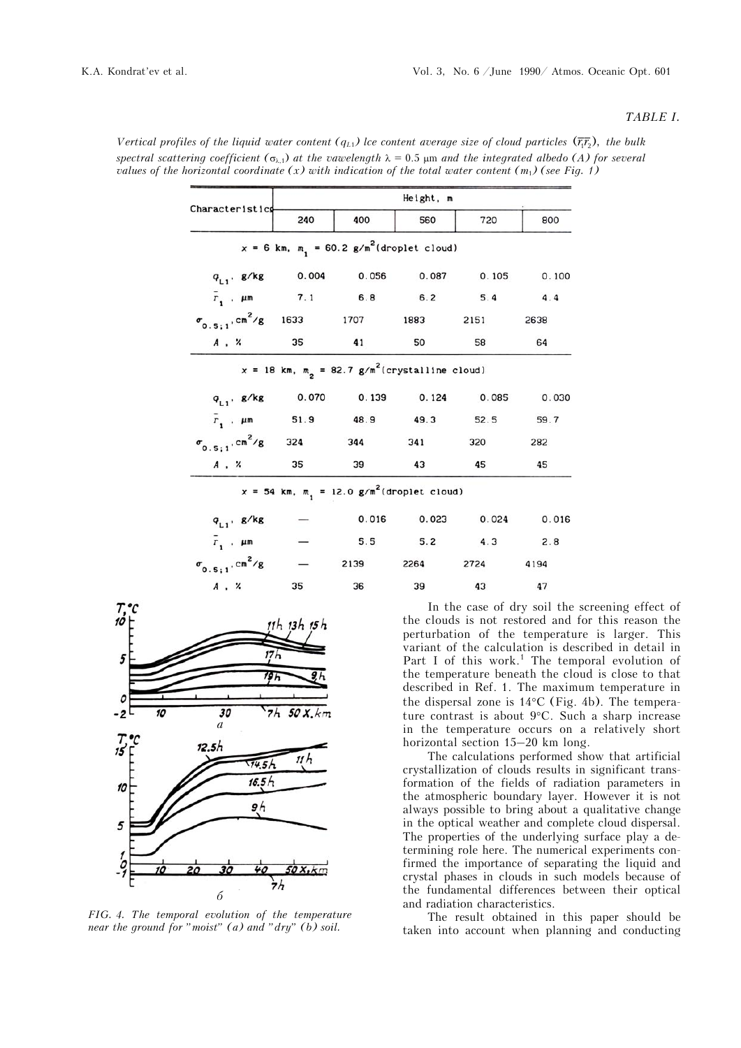## *TABLE I.*

|                                                           | Height, m         |                   |                                                               |                                                                                                |       |
|-----------------------------------------------------------|-------------------|-------------------|---------------------------------------------------------------|------------------------------------------------------------------------------------------------|-------|
| Characteristics                                           | 240               | 400               | 560                                                           | 720                                                                                            | 800   |
|                                                           |                   |                   | $x = 6$ km, $m1 = 60.2$ g/m <sup>2</sup> (droplet cloud)      |                                                                                                |       |
| $q_{L1}$ , g/kg 0.004 0.056                               |                   |                   | 0.087                                                         | 0.105                                                                                          | 0.100 |
| $\bar{r}$ , $\mu$ m 7.1 6.8 6.2                           |                   |                   |                                                               | 5.4                                                                                            | 4.4   |
| $\sigma_{0.5;1}$ , cm <sup>2</sup> /g 1633 1707 1883 2151 |                   |                   |                                                               |                                                                                                | 2638  |
| A . %                                                     | 35                | 41                | 50                                                            | 58                                                                                             | 64    |
|                                                           |                   |                   | $x = 18$ km, $m2 = 82.7$ g/m <sup>2</sup> (crystalline cloud) |                                                                                                |       |
| $q_{L1}$ . g/kg                                           |                   | 0.070 0.139 0.124 |                                                               | 0.085                                                                                          | 0.030 |
| $\bar{r}$ , $\mu$ m                                       |                   | 51.9 48.9 49.3    |                                                               | 52.5                                                                                           | 59.7  |
| $\sigma_{0.5;1}$ , cm <sup>2</sup> /g                     |                   | 324 344 341       |                                                               | 320                                                                                            | 282   |
| $A$ , $\alpha$                                            | 35                | 39                | 43                                                            | 45                                                                                             | 45    |
|                                                           |                   |                   | $x = 54$ km, $m_1 = 12.0$ g/m <sup>2</sup> (droplet cloud)    |                                                                                                |       |
| $q_{L1}$ , g/kg                                           |                   |                   | $0.016$ $0.023$                                               | 0.024                                                                                          | 0.016 |
| $\bar{r}_1$ . $\mu$ m                                     |                   |                   | 5.5 5.2                                                       | 4.3                                                                                            | 2.8   |
| $\sigma_{0.5:1}^{\rm C. cm^2/g}$                          |                   |                   |                                                               | 2139 2264 2724                                                                                 | 4194  |
| A . %                                                     | 35                | 36                | 39                                                            | 43                                                                                             | 47    |
|                                                           | $11h$ $13h$ $15h$ |                   |                                                               | In the case of dry soil the<br>the clouds is not restored and<br>perturbation of the temperatu |       |

*Vertical profiles of the liquid water content (* $q_{L1}$ *) lce content average size of cloud particles*  $(\bar{r},\bar{r},\bar{r})$ *, the bulk* spectral scattering coefficient ( $\sigma_{\lambda,1}$ ) at the vawelength  $\lambda = 0.5$  µm and the integrated albedo (A) for several *values of the horizontal coordinate (x) with indication of the total water content (m*1*) (see Fig. 1)*



*FIG. 4. The temporal evolution of the temperature near the ground for "moist" (a) and "dry" (b) soil.*

screening effect of for this reason the perturbation of the temperature is larger. This variant of the calculation is described in detail in Part I of this work.<sup>1</sup> The temporal evolution of the temperature beneath the cloud is close to that described in Ref. 1. The maximum temperature in the dispersal zone is  $14^{\circ}$ C (Fig. 4b). The temperature contrast is about  $9^{\circ}$ C. Such a sharp increase in the temperature occurs on a relatively short horizontal section 15–20 km long.

The calculations performed show that artificial crystallization of clouds results in significant transformation of the fields of radiation parameters in the atmospheric boundary layer. However it is not always possible to bring about a qualitative change in the optical weather and complete cloud dispersal. The properties of the underlying surface play a determining role here. The numerical experiments confirmed the importance of separating the liquid and crystal phases in clouds in such models because of the fundamental differences between their optical and radiation characteristics.

The result obtained in this paper should be taken into account when planning and conducting